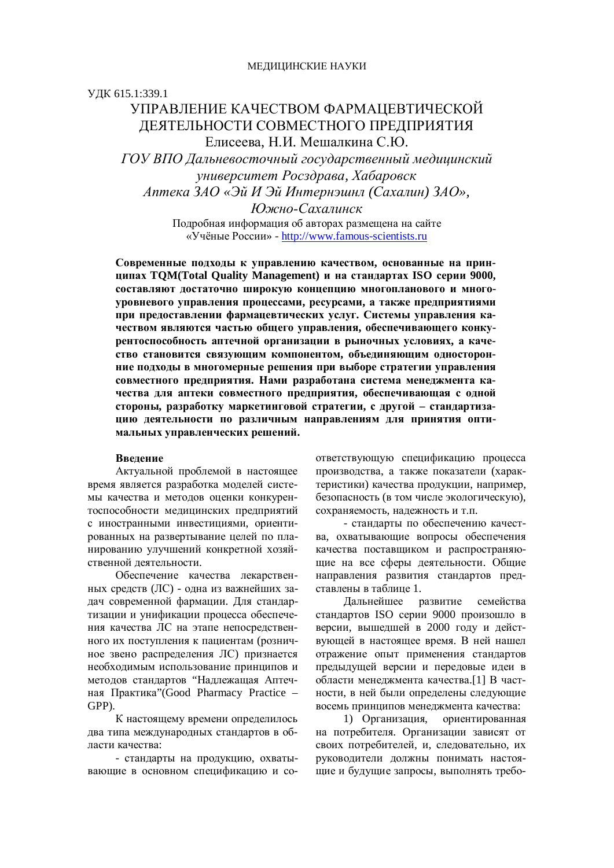## ɍȾɄ 615.1:339.1

# УПРАВЛЕНИЕ КАЧЕСТВОМ ФАРМАШЕВТИЧЕСКОЙ ДЕЯТЕЛЬНОСТИ СОВМЕСТНОГО ПРЕДПРИЯТИЯ Елисеева, Н.И. Мешалкина С.Ю.

*ȽɈɍȼɉɈȾɚɥɶɧɟɜɨɫɬɨɱɧɵɣɝɨɫɭɞɚɪɫɬɜɟɧɧɵɣɦɟɞɢɰɢɧɫɤɢɣ ɭɧɢɜɟɪɫɢɬɟɬɊɨɫɡɞɪɚɜɚ, ɏɚɛɚɪɨɜɫɤ ȺɩɬɟɤɚɁȺɈ «ɗɣɂɗɣɂɧɬɟɪɧɷɲɧɥ (ɋɚɯɚɥɢɧ) ɁȺɈ»,* 

> *ɘɠɧɨɋɚɯɚɥɢɧɫɤ* Подробная информация об авторах размещена на сайте «Учёные России» - http://www.famous-scientists.ru

Современные подходы к управлению качеством, основанные на прин**ципах TQM(Total Quality Management)** и на стандартах ISO серии 9000, составляют лостаточно широкую концепцию многопланового и много-V ровневого управления процессами, ресурсами, а также предприятиями при предоставлении фармацевтических услуг. Системы управления качеством являются частью общего управления, обеспечивающего конку**рентоспособность аптечной организации в рыночных условиях, а каче**ство становится связующим компонентом, объединяющим односторонние подходы в многомерные решения при выборе стратегии управления совместного предприятия. Нами разработана система менеджмента качества лля аптеки совместного прелприятия, обеспечивающая с олной стороны, разработку маркетинговой стратегии, с другой - стандартизацию деятельности по различным направлениям для принятия опти**мальных управленческих решений.** 

#### **Ввеление**

Актуальной проблемой в настоящее время является разработка моделей системы качества и методов оценки конкурентоспособности медицинских предприятий с иностранными инвестициями, ориентированных на развертывание целей по планированию улучшений конкретной хозяйственной деятельности.

Обеспечение качества лекарственных средств (ЛС) - одна из важнейших задач современной фармации. Для стандартизации и унификации процесса обеспечения качества ЛС на этапе непосредственного их поступления к пациентам (розничное звено распределения ЛС) признается необходимым использование принципов и методов стандартов "Надлежащая Аптечная Практика"(Good Pharmacy Practice – GPP).

К настоящему времени определилось два типа международных стандартов в области качества:

- стандарты на продукцию, охватывающие в основном спецификацию и соответствующую спецификацию процесса производства, а также показатели (характеристики) качества продукции, например, безопасность (в том числе экологическую), сохраняемость, надежность и т.п.

- стандарты по обеспечению качества, охватывающие вопросы обеспечения качества поставшиком и распространяющие на все сферы деятельности. Общие направления развития стандартов представлены в таблице 1.

Дальнейшее развитие семейства стандартов ISO серии 9000 произошло в версии, вышедшей в 2000 году и действующей в настоящее время. В ней нашел отражение опыт применения стандартов предыдущей версии и передовые идеи в области менеджмента качества.[1] В частности, в ней были определены следующие восемь принципов менеджмента качества:

1) Организация, ориентированная на потребителя. Организации зависят от своих потребителей, и, следовательно, их руководители должны понимать настоящие и будущие запросы, выполнять требо-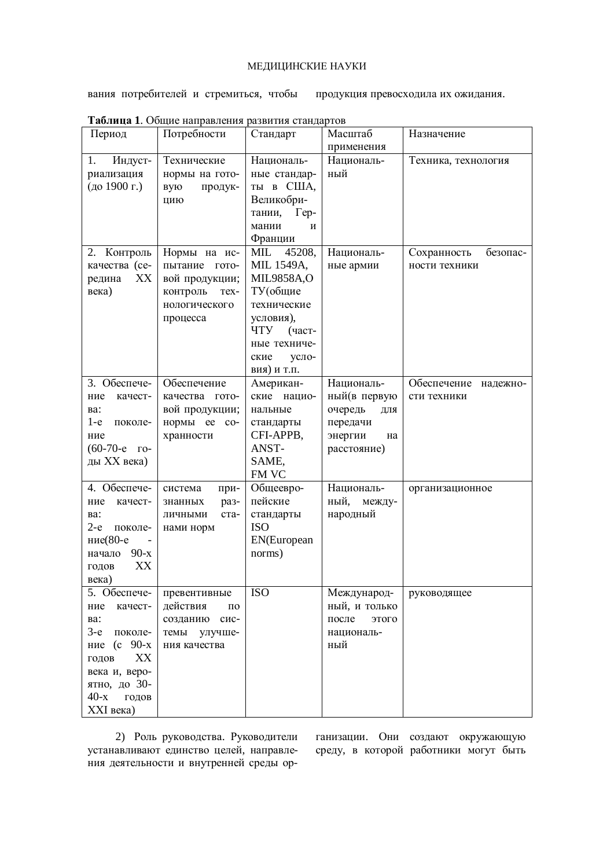## МЕДИЦИНСКИЕ НАУКИ

вания потребителей и стремиться, чтобы продукция превосходила их ожидания.

| Габлица 1. Общие направления развития стандартов |                          |                        |                |                         |
|--------------------------------------------------|--------------------------|------------------------|----------------|-------------------------|
| Период                                           | Потребности              | Стандарт               | Масштаб        | Назначение              |
|                                                  |                          |                        | применения     |                         |
| 1.<br>Индуст-                                    | Технические              | Националь-             | Националь-     | Техника, технология     |
| риализация                                       | нормы на гото-           | ные стандар-           | ный            |                         |
| (до 1900 г.)                                     | вую<br>продук-           | ты в США,              |                |                         |
|                                                  | цию                      | Великобри-             |                |                         |
|                                                  |                          | тании,<br>$\Gamma$ ep- |                |                         |
|                                                  |                          | мании<br>И             |                |                         |
|                                                  |                          | Франции                |                |                         |
| 2. Контроль                                      | Нормы на ис-             | 45208,<br>MIL          | Националь-     | Сохранность<br>безопас- |
| качества (се-                                    | пытание гото-            | <b>MIL 1549A,</b>      | ные армии      | ности техники           |
| XX<br>редина                                     | вой продукции;           | <b>MIL9858A,O</b>      |                |                         |
| века)                                            |                          | ТУ(общие               |                |                         |
|                                                  | контроль<br>Tex-         |                        |                |                         |
|                                                  | нологического            | технические            |                |                         |
|                                                  | процесса                 | условия),              |                |                         |
|                                                  |                          | ЧTУ<br>(част-          |                |                         |
|                                                  |                          | ные техниче-           |                |                         |
|                                                  |                          | ские<br>усло-          |                |                         |
|                                                  |                          | вия) и т.п.            |                |                         |
| 3. Обеспече-                                     | Обеспечение              | Американ-              | Националь-     | Обеспечение надежно-    |
| качест-<br>ние                                   | качества гото-           | ские нацио-            | ный(в первую   | сти техники             |
| Ba:                                              | вой продукции;           | нальные                | очередь<br>ДЛЯ |                         |
| $1-e$<br>поколе-                                 | нормы ее со-             | стандарты              | передачи       |                         |
| ние                                              | хранности                | CFI-APPB,              | энергии<br>на  |                         |
| $(60-70-e)$ ro-                                  |                          | ANST-                  | расстояние)    |                         |
| ды XX века)                                      |                          | SAME,                  |                |                         |
|                                                  |                          | FM VC                  |                |                         |
| 4. Обеспече-                                     | система<br>при-          | Общеевро-              | Националь-     | организационное         |
| ние<br>качест-                                   | знанных<br>раз-          | пейские                | ный,<br>между- |                         |
| Ba:                                              | ста-<br>ЛИЧНЫМИ          | стандарты              | народный       |                         |
| $2-e$<br>поколе-                                 | нами норм                | <b>ISO</b>             |                |                         |
| ние(80-е                                         |                          | EN(European            |                |                         |
| начало 90-х                                      |                          | norms)                 |                |                         |
| XX<br>ГОДОВ                                      |                          |                        |                |                         |
| века)                                            |                          |                        |                |                         |
| 5. Обеспече-                                     | превентивные             | <b>ISO</b>             | Международ-    | руководящее             |
| ние<br>качест-                                   | действия<br>$\Pi{\bf 0}$ |                        | ный, и только  |                         |
| Ba:                                              | созданию сис-            |                        | после<br>этого |                         |
| 3-е поколе-                                      | темы<br>улучше-          |                        | националь-     |                         |
| ние (с 90-х                                      | ния качества             |                        | ный            |                         |
| XX<br>годов                                      |                          |                        |                |                         |
|                                                  |                          |                        |                |                         |
| века и, веро-                                    |                          |                        |                |                         |
| ятно, до 30-                                     |                          |                        |                |                         |
| $40-x$<br>годов                                  |                          |                        |                |                         |
| XXI века)                                        |                          |                        |                |                         |

 $T_{\alpha}$ 

2) Роль руководства. Руководители устанавливают единство целей, направлеумия деятельности и внутренней среды организации. Они создают окружающую среду, в которой работники могут быть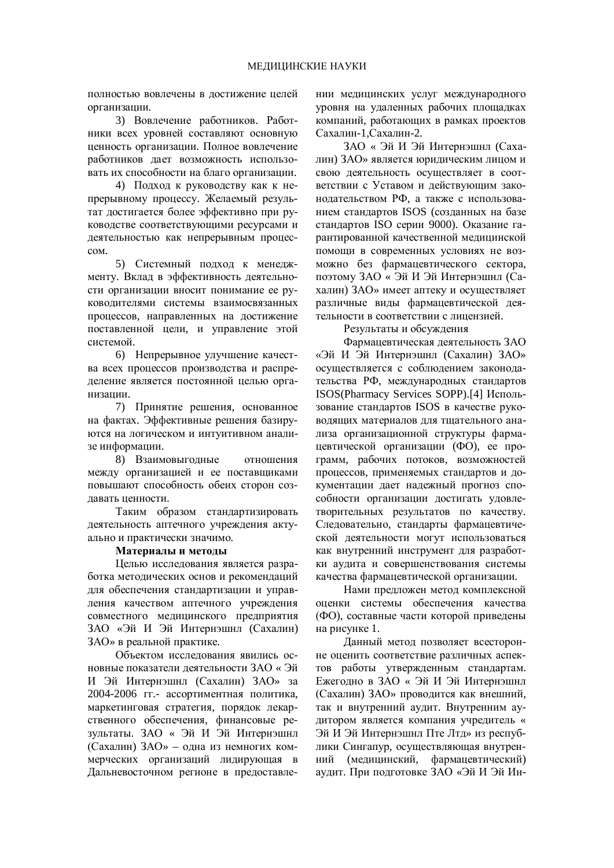полностью вовлечены в достижение целей организации.

3) Вовлечение работников. Работники всех уровней составляют основную ценность организации. Полное вовлечение работников дает возможность использовать их способности на благо организации.

4) Подход к руководству как к непрерывному процессу. Желаемый результат лостигается более эффективно при руководстве соответствующими ресурсами и деятельностью как непрерывным процес $c<sub>OM</sub>$ 

5) Системный подход к менеджменту. Вклад в эффективность деятельности организации вносит понимание ее руководителями системы взаимосвязанных процессов, направленных на лостижение поставленной цели, и управление этой системой.

6) Непрерывное улучшение качества всех процессов производства и распределение является постоянной целью организании

7) Принятие решения, основанное на фактах. Эффективные решения базируются на логическом и интуитивном анализе информации.

8) Взаимовыгодные отношения между организацией и ее поставщиками повышают способность обеих сторон создавать ценности.

Таким образом стандартизировать деятельность аптечного учреждения актуально и практически значимо.

## Материалы и метолы

Целью исследования является разработка методических основ и рекомендаций для обеспечения стандартизации и управления качеством аптечного учреждения совместного мелицинского предприятия ЗАО «Эй И Эй Интернэшнл (Сахалин) ЗАО» в реальной практике.

Объектом исследования явились основные показатели деятельности ЗАО « Эй И Эй Интернэшнл (Сахалин) ЗАО» за 2004-2006 гг.- ассортиментная политика, маркетинговая стратегия, порядок лекарственного обеспечения, финансовые результаты. ЗАО « Эй И Эй Интернэшнл (Сахалин) ЗАО» – одна из немногих коммерческих организаций лидирующая в Дальневосточном регионе в предоставлении медицинских услуг международного уровня на удаленных рабочих площадках компаний, работающих в рамках проектов Сахалин-1, Сахалин-2.

ЗАО « Эй И Эй Интернэшнл (Сахалин) ЗАО» является юридическим лицом и свою деятельность осуществляет в соответствии с Уставом и действующим законодательством РФ, а также с использованием стандартов ISOS (созданных на базе стандартов ISO серии 9000). Оказание гарантированной качественной медицинской помощи в современных условиях не возможно без фармацевтического сектора, поэтому ЗАО « Эй И Эй Интернэшнл (Сахалин) ЗАО» имеет аптеку и осуществляет различные виды фармацевтической деятельности в соответствии с лицензией.

Результаты и обсуждения

Фармацевтическая деятельность ЗАО «Эй И Эй Интернэшнл (Сахалин) ЗАО» осуществляется с соблюдением законолательства РФ, международных стандартов ISOS(Pharmacy Services SOPP).[4] Использование стандартов ISOS в качестве руководящих материалов для тщательного анализа организационной структуры фармацевтической организации (ФО), ее программ, рабочих потоков, возможностей процессов, применяемых стандартов и документации дает надежный прогноз способности организации достигать удовлетворительных результатов по качеству. Следовательно, стандарты фармацевтической деятельности могут использоваться как внутренний инструмент для разработки аудита и совершенствования системы качества фармацевтической организации.

Нами предложен метод комплексной оценки системы обеспечения качества (ФО), составные части которой приведены на рисунке 1.

Данный метод позволяет всесторонне оценить соответствие различных аспектов работы утвержденным стандартам. Ежегодно в ЗАО « Эй И Эй Интернэшнл (Сахалин) ЗАО» проводится как внешний, так и внутренний аудит. Внутренним аудитором является компания учредитель « Эй И Эй Интернэшнл Пте Лтд» из республики Сингапур, осушествляющая внутренний (медицинский, фармацевтический) аудит. При подготовке ЗАО «Эй И Эй Ин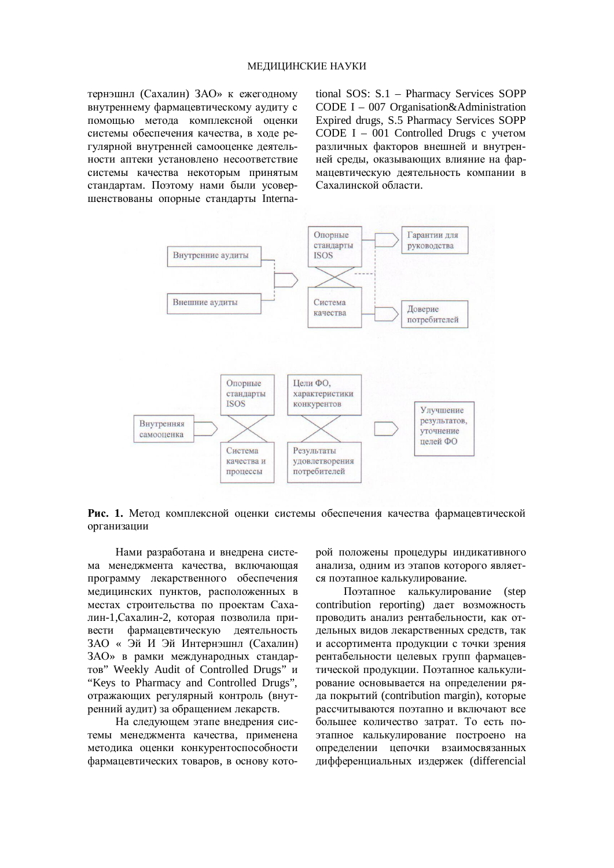тернэшнл (Сахалин) ЗАО» к ежегодному внутреннему фармацевтическому аудиту с помощью метода комплексной оценки системы обеспечения качества, в холе регулярной внутренней самооценке деятельности аптеки установлено несоответствие системы качества некоторым принятым стандартам. Поэтому нами были усовершенствованы опорные стандарты International SOS: S.1 – Pharmacy Services SOPP CODE I – 007 Organisation&Administration Expired drugs, S.5 Pharmacy Services SOPP CODE  $I - 001$  Controlled Drugs c vyerom различных факторов внешней и внутренней среды, оказывающих влияние на фармацевтическую деятельность компании в Сахалинской области.



Рис. 1. Метод комплексной оценки системы обеспечения качества фармацевтической организации

Нами разработана и внелрена система менеджмента качества, включающая программу лекарственного обеспечения медицинских пунктов, расположенных в местах строительства по проектам Сахалин-1, Сахалин-2, которая позволила привести фармацевтическую деятельность ЗАО « Эй И Эй Интернэшнл (Сахалин) ЗАО» в рамки международных стандартов" Weekly Audit of Controlled Drugs" и "Keys to Pharmacy and Controlled Drugs", отражающих регулярный контроль (внутренний аудит) за обращением лекарств.

На следующем этапе внедрения системы менелжмента качества, применена методика оценки конкурентоспособности фармацевтических товаров, в основу которой положены процедуры индикативного анализа, одним из этапов которого является поэтапное калькулирование.

Поэтапное калькулирование (step contribution reporting) дает возможность проводить анализ рентабельности, как отдельных видов лекарственных средств, так и ассортимента продукции с точки зрения рентабельности целевых групп фармацевтической продукции. Поэтапное калькулирование основывается на определении ряда покрытий (contribution margin), которые рассчитываются поэтапно и включают все большее количество затрат. То есть поэтапное калькулирование построено на определении цепочки взаимосвязанных дифференциальных издержек (differencial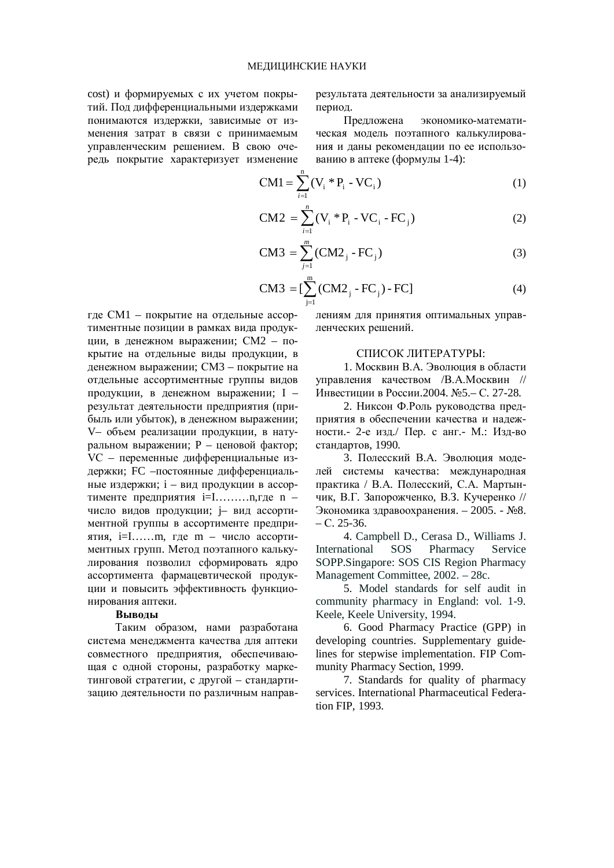cost) и формируемых с их учетом покрытий. Под дифференциальными издержками понимаются издержки, зависимые от изменения затрат в связи с принимаемым управленческим решением. В свою очередь покрытие характеризует изменение результата деятельности за анализируемый период.

Предложена экономико-математическая модель поэтапного калькулирования и даны рекомендации по ее использованию в аптеке (формулы 1-4):

$$
CM1 = \sum_{i=1}^{n} (V_i * P_i - VC_i)
$$
 (1)

$$
CM2 = \sum_{i=1}^{n} (V_i * P_i - VC_i - FC_j)
$$
 (2)

$$
CM3 = \sum_{j=1}^{m} (CM2_j - FC_j)
$$
 (3)

$$
CM3 = [\sum_{j=1}^{m} (CM2_{j} - FC_{j}) - FC]
$$
 (4)

где СМ1 – покрытие на отдельные ассортиментные позиции в рамках вида продукции, в денежном выражении; СМ2 – покрытие на отдельные виды продукции, в денежном выражении; СМ3 – покрытие на отдельные ассортиментные группы видов продукции, в денежном выражении; I – результат деятельности предприятия (прибыль или убыток), в денежном выражении; V– объем реализации продукции, в натуральном выражении; P – ценовой фактор; VC – переменные дифференциальные издержки: FC –постоянные дифференциальные издержки; i – вид продукции в ассортименте предприятия  $i=I$ ............., где n – число видов продукции; ј– вид ассортиментной группы в ассортименте предприятия, i=I……m, где m – число ассортиментных групп. Метод поэтапного калькулирования позволил сформировать ядро ассортимента фармацевтической продукции и повысить эффективность функционирования аптеки.

## **Выводы**

Таким образом, нами разработана система менеджмента качества для аптеки совместного предприятия, обеспечивающая с одной стороны, разработку маркетинговой стратегии, с другой – стандартизацию деятельности по различным направлениям для принятия оптимальных управленческих решений.

#### СПИСОК ЛИТЕРАТУРЫ:

1. Москвин В.А. Эволюция в области управления качеством /В.А.Москвин // Инвестиции в России.2004. №5.– С. 27-28.

2. Никсон Ф.Роль руководства предприятия в обеспечении качества и надежности.- 2-е изд./ Пер. с анг.- М.: Изд-во стандартов, 1990.

3. Полесский В.А. Эволюция молелей системы качества: международная практика / В.А. Полесский. С.А. Мартынчик, В.Г. Запорожченко, В.З. Кучеренко //  $\Theta$ кономика здравоохранения. – 2005. -  $\mathcal{N}_28$ .  $- C. 25 - 36.$ 

4. Campbell D., Cerasa D., Williams J. International SOS Pharmacy Service SOPP.Singapore: SOS CIS Region Pharmacy Management Committee, 2002. – 28c.

5. Model standards for self audit in community pharmacy in England: vol. 1-9. Keele, Keele University, 1994.

6. Good Pharmacy Practice (GPP) in developing countries. Supplementary guidelines for stepwise implementation. FIP Community Pharmacy Section, 1999.

7. Standards for quality of pharmacy services. International Pharmaceutical Federation FIP, 1993.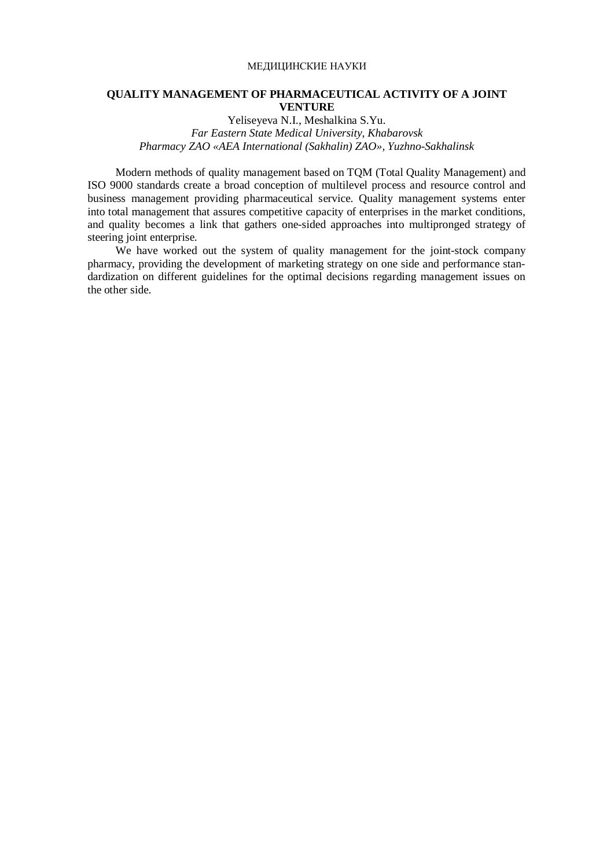### МЕДИЦИНСКИЕ НАУКИ

### **QUALITY MANAGEMENT OF PHARMACEUTICAL ACTIVITY OF A JOINT VENTURE**

Yeliseyeva N.I., Meshalkina S.Yu. *Far Eastern State Medical University, Khabarovsk Pharmacy ZAO «AEA International (Sakhalin) ZAO», Yuzhno-Sakhalinsk* 

Modern methods of quality management based on TQM (Total Quality Management) and ISO 9000 standards create a broad conception of multilevel process and resource control and business management providing pharmaceutical service. Quality management systems enter into total management that assures competitive capacity of enterprises in the market conditions, and quality becomes a link that gathers one-sided approaches into multipronged strategy of steering joint enterprise.

We have worked out the system of quality management for the joint-stock company pharmacy, providing the development of marketing strategy on one side and performance standardization on different guidelines for the optimal decisions regarding management issues on the other side.